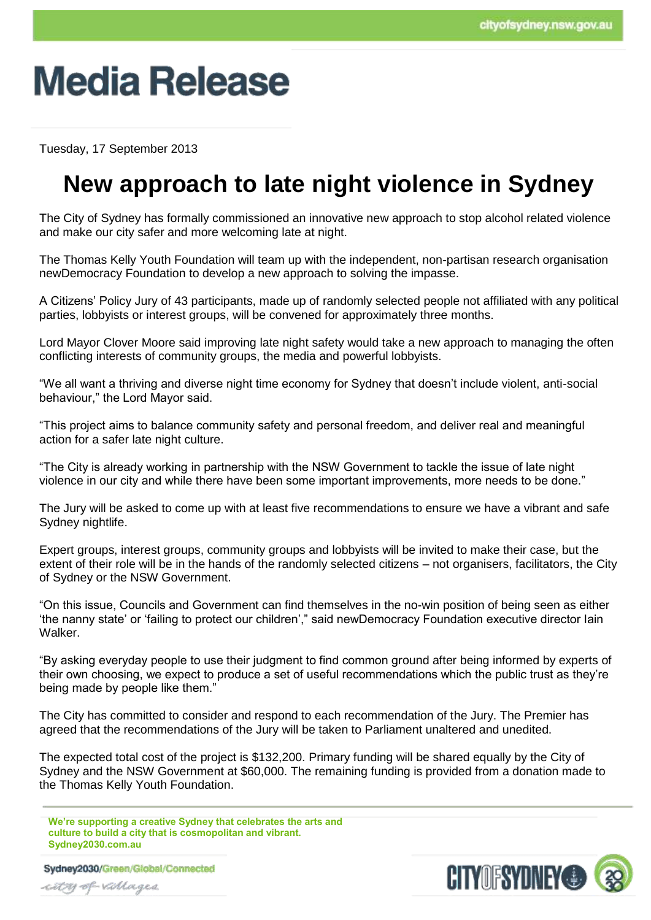# **Media Release**

Tuesday, 17 September 2013

### **New approach to late night violence in Sydney**

The City of Sydney has formally commissioned an innovative new approach to stop alcohol related violence and make our city safer and more welcoming late at night.

The Thomas Kelly Youth Foundation will team up with the independent, non-partisan research organisation newDemocracy Foundation to develop a new approach to solving the impasse.

A Citizens' Policy Jury of 43 participants, made up of randomly selected people not affiliated with any political parties, lobbyists or interest groups, will be convened for approximately three months.

Lord Mayor Clover Moore said improving late night safety would take a new approach to managing the often conflicting interests of community groups, the media and powerful lobbyists.

"We all want a thriving and diverse night time economy for Sydney that doesn't include violent, anti-social behaviour," the Lord Mayor said.

"This project aims to balance community safety and personal freedom, and deliver real and meaningful action for a safer late night culture.

"The City is already working in partnership with the NSW Government to tackle the issue of late night violence in our city and while there have been some important improvements, more needs to be done."

The Jury will be asked to come up with at least five recommendations to ensure we have a vibrant and safe Sydney nightlife.

Expert groups, interest groups, community groups and lobbyists will be invited to make their case, but the extent of their role will be in the hands of the randomly selected citizens – not organisers, facilitators, the City of Sydney or the NSW Government.

"On this issue, Councils and Government can find themselves in the no-win position of being seen as either 'the nanny state' or 'failing to protect our children'," said newDemocracy Foundation executive director Iain Walker.

"By asking everyday people to use their judgment to find common ground after being informed by experts of their own choosing, we expect to produce a set of useful recommendations which the public trust as they're being made by people like them."

The City has committed to consider and respond to each recommendation of the Jury. The Premier has agreed that the recommendations of the Jury will be taken to Parliament unaltered and unedited.

The expected total cost of the project is \$132,200. Primary funding will be shared equally by the City of Sydney and the NSW Government at \$60,000. The remaining funding is provided from a donation made to the Thomas Kelly Youth Foundation.

**We're supporting a creative Sydney that celebrates the arts and culture to build a city that is cosmopolitan and vibrant. Sydney2030.com.au**

Sydney2030/Green/Global/Connected